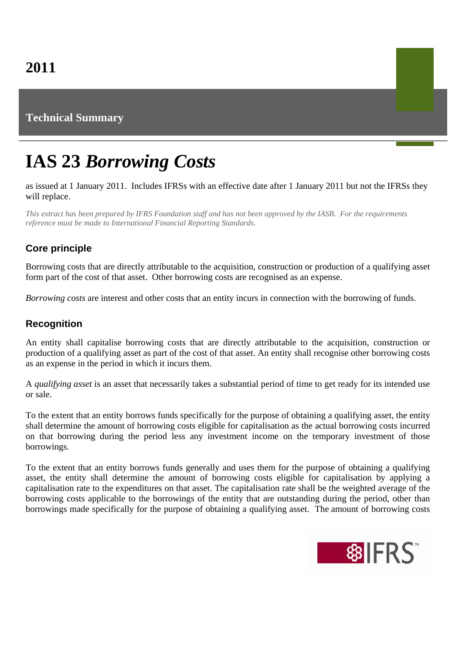# **Technical Summary**

# **IAS 23** *Borrowing Costs*

#### as issued at 1 January 2011. Includes IFRSs with an effective date after 1 January 2011 but not the IFRSs they will replace.

*This extract has been prepared by IFRS Foundation staff and has not been approved by the IASB. For the requirements reference must be made to International Financial Reporting Standards.*

## **Core principle**

Borrowing costs that are directly attributable to the acquisition, construction or production of a qualifying asset form part of the cost of that asset. Other borrowing costs are recognised as an expense.

*Borrowing costs* are interest and other costs that an entity incurs in connection with the borrowing of funds.

### **Recognition**

An entity shall capitalise borrowing costs that are directly attributable to the acquisition, construction or production of a qualifying asset as part of the cost of that asset. An entity shall recognise other borrowing costs as an expense in the period in which it incurs them.

A *qualifying asset* is an asset that necessarily takes a substantial period of time to get ready for its intended use or sale.

To the extent that an entity borrows funds specifically for the purpose of obtaining a qualifying asset, the entity shall determine the amount of borrowing costs eligible for capitalisation as the actual borrowing costs incurred on that borrowing during the period less any investment income on the temporary investment of those borrowings.

To the extent that an entity borrows funds generally and uses them for the purpose of obtaining a qualifying asset, the entity shall determine the amount of borrowing costs eligible for capitalisation by applying a capitalisation rate to the expenditures on that asset. The capitalisation rate shall be the weighted average of the borrowing costs applicable to the borrowings of the entity that are outstanding during the period, other than borrowings made specifically for the purpose of obtaining a qualifying asset. The amount of borrowing costs